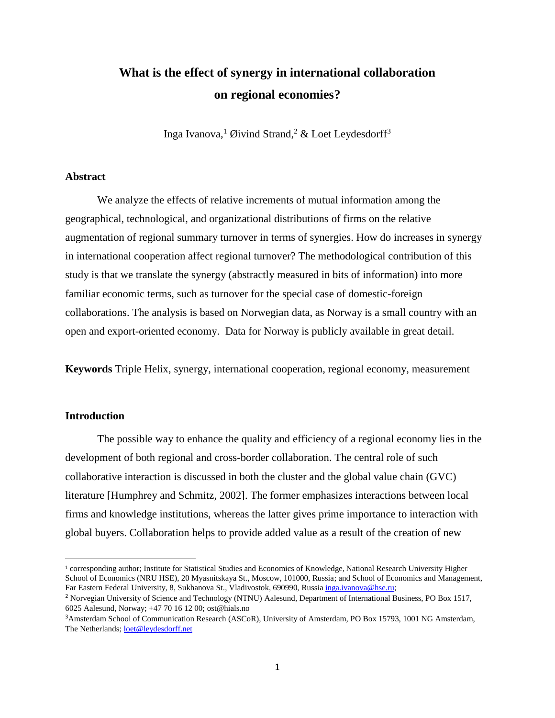# **What is the effect of synergy in international collaboration on regional economies?**

Inga Ivanova,<sup>1</sup> Øivind Strand,<sup>2</sup> & Loet Leydesdorff<sup>3</sup>

### **Abstract**

We analyze the effects of relative increments of mutual information among the geographical, technological, and organizational distributions of firms on the relative augmentation of regional summary turnover in terms of synergies. How do increases in synergy in international cooperation affect regional turnover? The methodological contribution of this study is that we translate the synergy (abstractly measured in bits of information) into more familiar economic terms, such as turnover for the special case of domestic-foreign collaborations. The analysis is based on Norwegian data, as Norway is a small country with an open and export-oriented economy. Data for Norway is publicly available in great detail.

**Keywords** Triple Helix, synergy, international cooperation, regional economy, measurement

#### **Introduction**

 $\overline{\phantom{a}}$ 

The possible way to enhance the quality and efficiency of a regional economy lies in the development of both regional and cross-border collaboration. The central role of such collaborative interaction is discussed in both the cluster and the global value chain (GVC) literature [Humphrey and Schmitz, 2002]. The former emphasizes interactions between local firms and knowledge institutions, whereas the latter gives prime importance to interaction with global buyers. Collaboration helps to provide added value as a result of the creation of new

<sup>1</sup> corresponding author; Institute for Statistical Studies and Economics of Knowledge, National Research University Higher School of Economics (NRU HSE), 20 Myasnitskaya St., Moscow, 101000, Russia; and School of Economics and Management, Far Eastern Federal University, 8, Sukhanova St., Vladivostok, 690990, Russia [inga.ivanova@hse.ru;](mailto:inga.ivanova@hse.ru)

<sup>2</sup> Norvegian University of Science and Technology (NTNU) Aalesund, Department of International Business, PO Box 1517, 6025 Aalesund, Norway; +47 70 16 12 00; ost@hials.no

<sup>3</sup>Amsterdam School of Communication Research (ASCoR), University of Amsterdam, PO Box 15793, 1001 NG Amsterdam, The Netherlands[; loet@leydesdorff.net](mailto:loet@leydesdorff.net)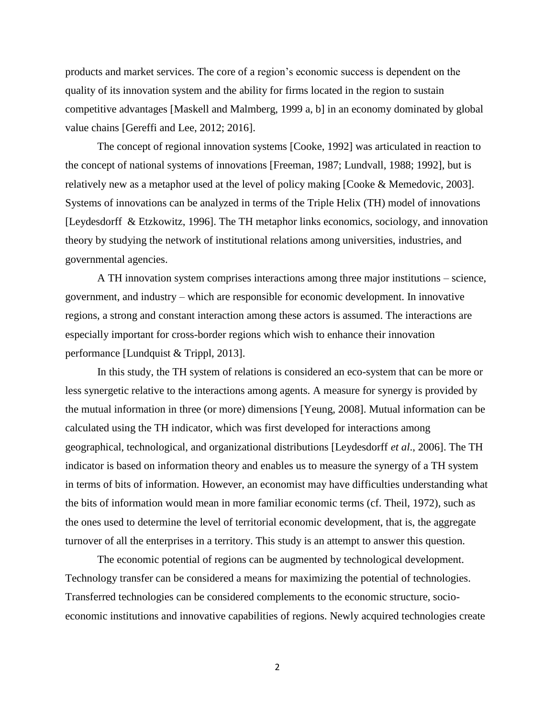products and market services. The core of a region's economic success is dependent on the quality of its innovation system and the ability for firms located in the region to sustain competitive advantages [Maskell and Malmberg, 1999 a, b] in an economy dominated by global value chains [Gereffi and Lee, 2012; 2016].

The concept of regional innovation systems [Cooke, 1992] was articulated in reaction to the concept of national systems of innovations [Freeman, 1987; Lundvall, 1988; 1992], but is relatively new as a metaphor used at the level of policy making [Cooke & Memedovic, 2003]. Systems of innovations can be analyzed in terms of the Triple Helix (TH) model of innovations [Leydesdorff & Etzkowitz, 1996]. The TH metaphor links economics, sociology, and innovation theory by studying the network of institutional relations among universities, industries, and governmental agencies.

A TH innovation system comprises interactions among three major institutions – science, government, and industry – which are responsible for economic development. In innovative regions, a strong and constant interaction among these actors is assumed. The interactions are especially important for cross-border regions which wish to enhance their innovation performance [Lundquist & Trippl, 2013].

In this study, the TH system of relations is considered an eco-system that can be more or less synergetic relative to the interactions among agents. A measure for synergy is provided by the mutual information in three (or more) dimensions [Yeung, 2008]. Mutual information can be calculated using the TH indicator, which was first developed for interactions among geographical, technological, and organizational distributions [Leydesdorff *et al*., 2006]. The TH indicator is based on information theory and enables us to measure the synergy of a TH system in terms of bits of information. However, an economist may have difficulties understanding what the bits of information would mean in more familiar economic terms (cf. Theil, 1972), such as the ones used to determine the level of territorial economic development, that is, the aggregate turnover of all the enterprises in a territory. This study is an attempt to answer this question.

The economic potential of regions can be augmented by technological development. Technology transfer can be considered a means for maximizing the potential of technologies. Transferred technologies can be considered complements to the economic structure, socioeconomic institutions and innovative capabilities of regions. Newly acquired technologies create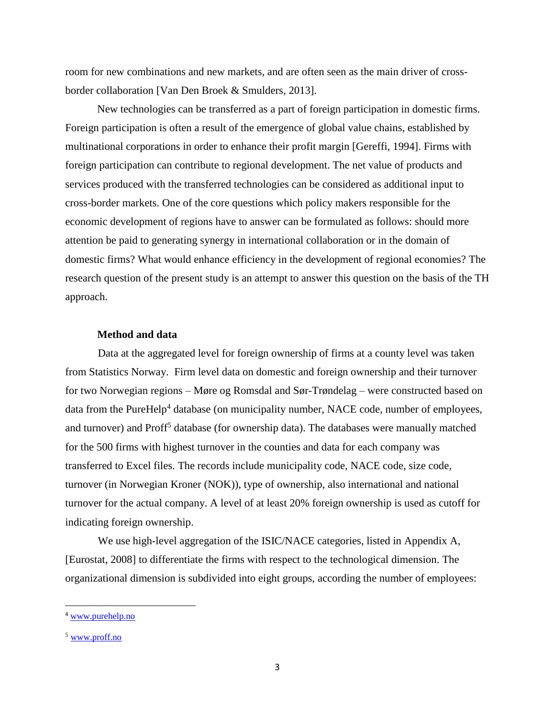room for new combinations and new markets, and are often seen as the main driver of crossborder collaboration [Van Den Broek & Smulders, 2013].

New technologies can be transferred as a part of foreign participation in domestic firms. Foreign participation is often a result of the emergence of global value chains, established by multinational corporations in order to enhance their profit margin [Gereffi, 1994]. Firms with foreign participation can contribute to regional development. The net value of products and services produced with the transferred technologies can be considered as additional input to cross-border markets. One of the core questions which policy makers responsible for the economic development of regions have to answer can be formulated as follows: should more attention be paid to generating synergy in international collaboration or in the domain of domestic firms? What would enhance efficiency in the development of regional economies? The research question of the present study is an attempt to answer this question on the basis of the TH approach.

# **Method and data**

Data at the aggregated level for foreign ownership of firms at a county level was taken from Statistics Norway. Firm level data on domestic and foreign ownership and their turnover for two Norwegian regions – Møre og Romsdal and Sør-Trøndelag – were constructed based on data from the PureHelp<sup>4</sup> database (on municipality number, NACE code, number of employees, and turnover) and Proff<sup>5</sup> database (for ownership data). The databases were manually matched for the 500 firms with highest turnover in the counties and data for each company was transferred to Excel files. The records include municipality code, NACE code, size code, turnover (in Norwegian Kroner (NOK)), type of ownership, also international and national turnover for the actual company. A level of at least 20% foreign ownership is used as cutoff for indicating foreign ownership.

We use high-level aggregation of the ISIC/NACE categories, listed in Appendix A, [Eurostat, 2008] to differentiate the firms with respect to the technological dimension. The organizational dimension is subdivided into eight groups, according the number of employees:

 $\overline{a}$ 

<sup>4</sup> [www.purehelp.no](http://www.purehelp.no/)

<sup>5</sup> [www.proff.no](http://www.proff.no/)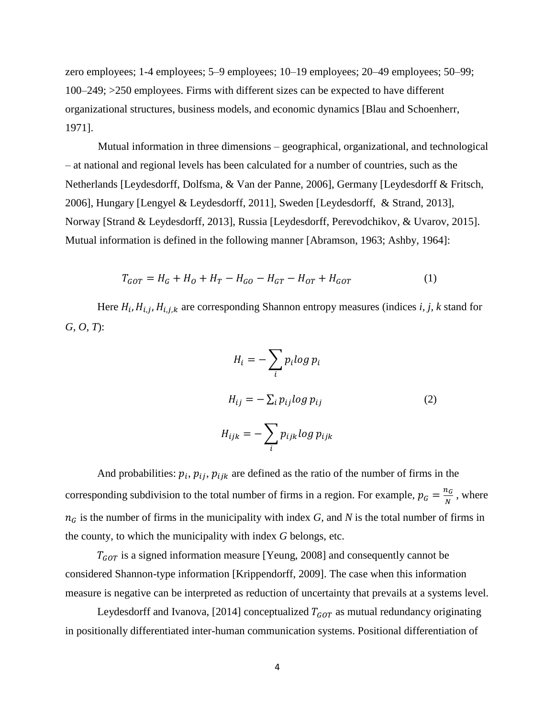zero employees; 1-4 employees; 5–9 employees; 10–19 employees; 20–49 employees; 50–99; 100–249; >250 employees. Firms with different sizes can be expected to have different organizational structures, business models, and economic dynamics [Blau and Schoenherr, 1971].

Mutual information in three dimensions – geographical, organizational, and technological – at national and regional levels has been calculated for a number of countries, such as the Netherlands [Leydesdorff, Dolfsma, & Van der Panne, 2006], Germany [Leydesdorff & Fritsch, 2006], Hungary [Lengyel & Leydesdorff, 2011], Sweden [Leydesdorff, & Strand, 2013], Norway [Strand & Leydesdorff, 2013], Russia [Leydesdorff, Perevodchikov, & Uvarov, 2015]. Mutual information is defined in the following manner [Abramson, 1963; Ashby, 1964]:

$$
T_{GOT} = H_G + H_O + H_T - H_{GO} - H_{GT} - H_{OT} + H_{GOT}
$$
 (1)

Here  $H_i$ ,  $H_{i,j}$ ,  $H_{i,j,k}$  are corresponding Shannon entropy measures (indices *i*, *j*, *k* stand for *G, O, T*):

$$
H_i = -\sum_i p_i \log p_i
$$
  
\n
$$
H_{ij} = -\sum_i p_{ij} \log p_{ij}
$$
  
\n
$$
H_{ijk} = -\sum_i p_{ijk} \log p_{ijk}
$$
\n(2)

And probabilities:  $p_i$ ,  $p_{ij}$ ,  $p_{ijk}$  are defined as the ratio of the number of firms in the corresponding subdivision to the total number of firms in a region. For example,  $p_G = \frac{n_G}{N}$  $\frac{\iota_G}{N}$ , where  $n<sub>G</sub>$  is the number of firms in the municipality with index *G*, and *N* is the total number of firms in the county, to which the municipality with index *G* belongs, etc.

 $T_{GOT}$  is a signed information measure [Yeung, 2008] and consequently cannot be considered Shannon-type information [Krippendorff, 2009]. The case when this information measure is negative can be interpreted as reduction of uncertainty that prevails at a systems level.

Leydesdorff and Ivanova, [2014] conceptualized  $T_{GOT}$  as mutual redundancy originating in positionally differentiated inter-human communication systems. Positional differentiation of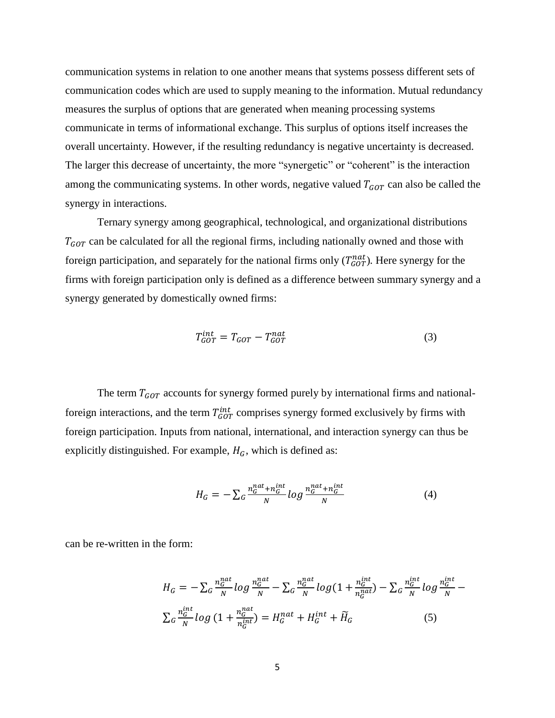communication systems in relation to one another means that systems possess different sets of communication codes which are used to supply meaning to the information. Mutual redundancy measures the surplus of options that are generated when meaning processing systems communicate in terms of informational exchange. This surplus of options itself increases the overall uncertainty. However, if the resulting redundancy is negative uncertainty is decreased. The larger this decrease of uncertainty, the more "synergetic" or "coherent" is the interaction among the communicating systems. In other words, negative valued  $T_{GOT}$  can also be called the synergy in interactions.

Ternary synergy among geographical, technological, and organizational distributions  $T_{GOT}$  can be calculated for all the regional firms, including nationally owned and those with foreign participation, and separately for the national firms only  $(T_{GOT}^{nat})$ . Here synergy for the firms with foreign participation only is defined as a difference between summary synergy and a synergy generated by domestically owned firms:

$$
T_{GOT}^{int} = T_{GOT} - T_{GOT}^{nat} \tag{3}
$$

The term  $T_{GOT}$  accounts for synergy formed purely by international firms and nationalforeign interactions, and the term  $T_{GOT}^{int}$  comprises synergy formed exclusively by firms with foreign participation. Inputs from national, international, and interaction synergy can thus be explicitly distinguished. For example,  $H_G$ , which is defined as:

$$
H_G = -\sum_{G} \frac{n_G^{nat} + n_G^{int}}{N} \log \frac{n_G^{nat} + n_G^{int}}{N}
$$
(4)

can be re-written in the form:

$$
H_G = -\sum_G \frac{n_G^{nat}}{N} \log \frac{n_G^{nat}}{N} - \sum_G \frac{n_G^{nat}}{N} \log \left(1 + \frac{n_G^{int}}{n_G^{nat}}\right) - \sum_G \frac{n_G^{int}}{N} \log \frac{n_G^{int}}{N} - \sum_G \frac{n_G^{int}}{N} \log \left(1 + \frac{n_G^{int}}{n_G^{int}}\right) = H_G^{nat} + H_G^{int} + \widetilde{H}_G
$$
 (5)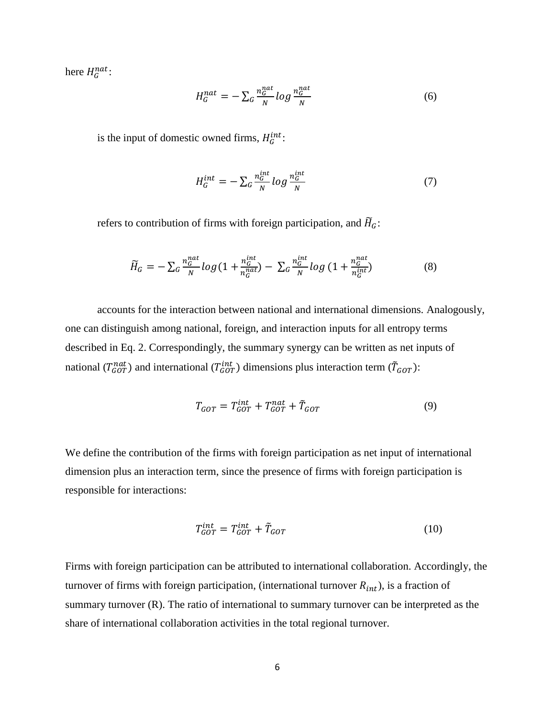here  $H_G^{nat}$ :

$$
H_G^{nat} = -\sum_G \frac{n_G^{nat}}{N} \log \frac{n_G^{nat}}{N}
$$
 (6)

is the input of domestic owned firms,  $H_G^{int}$ :

$$
H_G^{int} = -\sum_G \frac{n_G^{int}}{N} \log \frac{n_G^{int}}{N} \tag{7}
$$

refers to contribution of firms with foreign participation, and  $\widetilde{H}_G$ :

$$
\widetilde{H}_G = -\sum_G \frac{n_G^{nat}}{N} \log\left(1 + \frac{n_G^{int}}{n_G^{nat}}\right) - \sum_G \frac{n_G^{int}}{N} \log\left(1 + \frac{n_G^{nat}}{n_G^{int}}\right) \tag{8}
$$

accounts for the interaction between national and international dimensions. Analogously, one can distinguish among national, foreign, and interaction inputs for all entropy terms described in Eq. 2. Correspondingly, the summary synergy can be written as net inputs of national ( $T_{GOT}^{nat}$ ) and international ( $T_{GOT}^{int}$ ) dimensions plus interaction term ( $\tilde{T}_{GOT}$ ):

$$
T_{GOT} = T_{GOT}^{int} + T_{GOT}^{nat} + \tilde{T}_{GOT}
$$
 (9)

We define the contribution of the firms with foreign participation as net input of international dimension plus an interaction term, since the presence of firms with foreign participation is responsible for interactions:

$$
T_{GOT}^{int} = T_{GOT}^{int} + \tilde{T}_{GOT}
$$
 (10)

Firms with foreign participation can be attributed to international collaboration. Accordingly, the turnover of firms with foreign participation, (international turnover  $R_{int}$ ), is a fraction of summary turnover (R). The ratio of international to summary turnover can be interpreted as the share of international collaboration activities in the total regional turnover.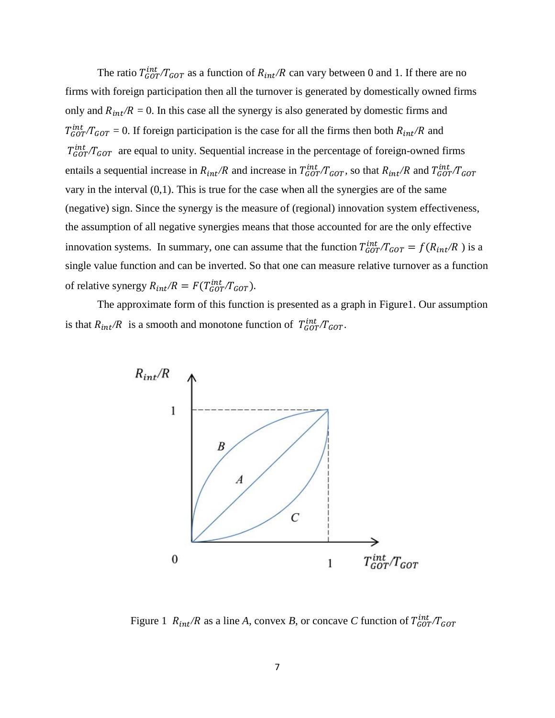The ratio  $T_{GOT}^{int}/T_{GOT}$  as a function of  $R_{int}/R$  can vary between 0 and 1. If there are no firms with foreign participation then all the turnover is generated by domestically owned firms only and  $R_{int}/R = 0$ . In this case all the synergy is also generated by domestic firms and  $T_{GOT}^{int} / T_{GOT} = 0$ . If foreign participation is the case for all the firms then both  $R_{int}/R$  and  $T_{GOT}^{int}$  are equal to unity. Sequential increase in the percentage of foreign-owned firms entails a sequential increase in  $R_{int}/R$  and increase in  $T_{GOT}^{int}/T_{GOT}$ , so that  $R_{int}/R$  and  $T_{GOT}^{int}/T_{GOT}$ vary in the interval  $(0,1)$ . This is true for the case when all the synergies are of the same (negative) sign. Since the synergy is the measure of (regional) innovation system effectiveness, the assumption of all negative synergies means that those accounted for are the only effective innovation systems. In summary, one can assume that the function  $T_{GOT}^{int}/T_{GOT} = f(R_{int}/R)$  is a single value function and can be inverted. So that one can measure relative turnover as a function of relative synergy  $R_{int}/R = F(T_{GOT}^{int}/T_{GOT})$ .

The approximate form of this function is presented as a graph in Figure1. Our assumption is that  $R_{int}/R$  is a smooth and monotone function of  $T_{GOT}/T_{GOT}$ .



Figure 1  $R_{int}/R$  as a line A, convex B, or concave C function of  $T_{GOT}^{int}/T_{GOT}$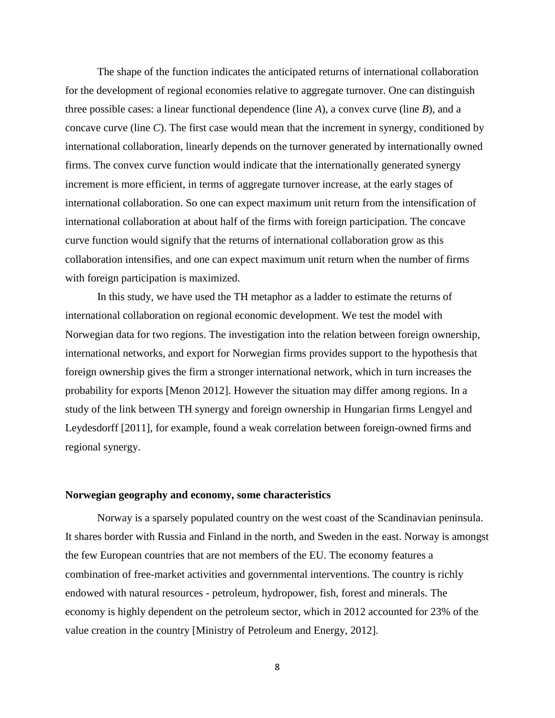The shape of the function indicates the anticipated returns of international collaboration for the development of regional economies relative to aggregate turnover. One can distinguish three possible cases: a linear functional dependence (line *A*), a convex curve (line *B*), and a concave curve (line *C*). The first case would mean that the increment in synergy, conditioned by international collaboration, linearly depends on the turnover generated by internationally owned firms. The convex curve function would indicate that the internationally generated synergy increment is more efficient, in terms of aggregate turnover increase, at the early stages of international collaboration. So one can expect maximum unit return from the intensification of international collaboration at about half of the firms with foreign participation. The concave curve function would signify that the returns of international collaboration grow as this collaboration intensifies, and one can expect maximum unit return when the number of firms with foreign participation is maximized.

In this study, we have used the TH metaphor as a ladder to estimate the returns of international collaboration on regional economic development. We test the model with Norwegian data for two regions. The investigation into the relation between foreign ownership, international networks, and export for Norwegian firms provides support to the hypothesis that foreign ownership gives the firm a stronger international network, which in turn increases the probability for exports [Menon 2012]. However the situation may differ among regions. In a study of the link between TH synergy and foreign ownership in Hungarian firms Lengyel and Leydesdorff [2011], for example, found a weak correlation between foreign-owned firms and regional synergy.

#### **Norwegian geography and economy, some characteristics**

Norway is a sparsely populated country on the west coast of the Scandinavian peninsula. It shares border with Russia and Finland in the north, and Sweden in the east. Norway is amongst the few European countries that are not members of the EU. The economy features a combination of free-market activities and governmental interventions. The country is richly endowed with natural resources - petroleum, hydropower, fish, forest and minerals. The economy is highly dependent on the petroleum sector, which in 2012 accounted for 23% of the value creation in the country [Ministry of Petroleum and Energy, 2012].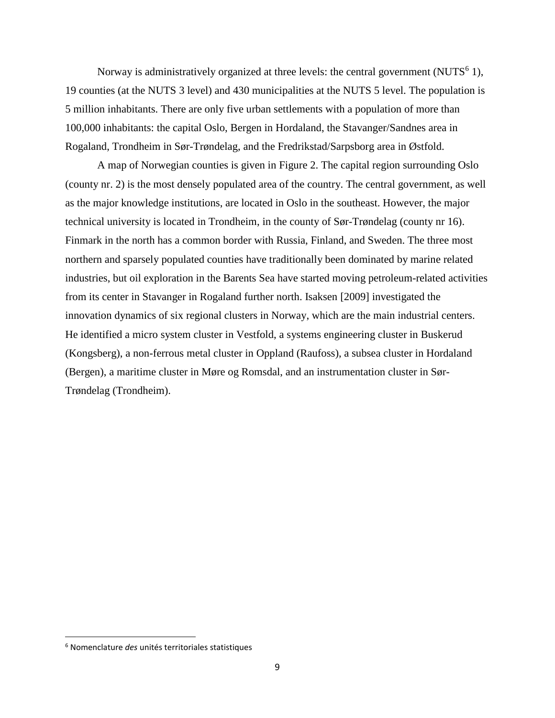Norway is administratively organized at three levels: the central government (NUTS $<sup>6</sup>$  1),</sup> 19 counties (at the NUTS 3 level) and 430 municipalities at the NUTS 5 level. The population is 5 million inhabitants. There are only five urban settlements with a population of more than 100,000 inhabitants: the capital Oslo, Bergen in Hordaland, the Stavanger/Sandnes area in Rogaland, Trondheim in Sør-Trøndelag, and the Fredrikstad/Sarpsborg area in Østfold.

A map of Norwegian counties is given in Figure 2. The capital region surrounding Oslo (county nr. 2) is the most densely populated area of the country. The central government, as well as the major knowledge institutions, are located in Oslo in the southeast. However, the major technical university is located in Trondheim, in the county of Sør-Trøndelag (county nr 16). Finmark in the north has a common border with Russia, Finland, and Sweden. The three most northern and sparsely populated counties have traditionally been dominated by marine related industries, but oil exploration in the Barents Sea have started moving petroleum-related activities from its center in Stavanger in Rogaland further north. Isaksen [2009] investigated the innovation dynamics of six regional clusters in Norway, which are the main industrial centers. He identified a micro system cluster in Vestfold, a systems engineering cluster in Buskerud (Kongsberg), a non-ferrous metal cluster in Oppland (Raufoss), a subsea cluster in Hordaland (Bergen), a maritime cluster in Møre og Romsdal, and an instrumentation cluster in Sør-Trøndelag (Trondheim).

 $\overline{\phantom{a}}$ 

<sup>6</sup> Nomenclature *des* unités territoriales statistiques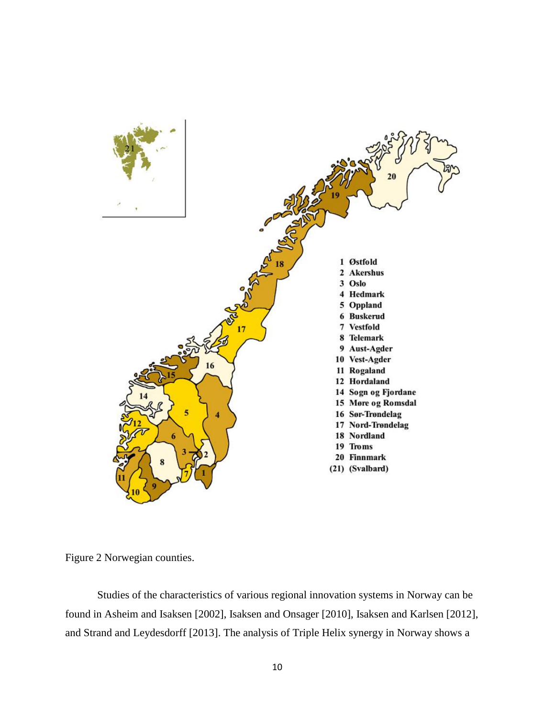

Figure 2 Norwegian counties.

Studies of the characteristics of various regional innovation systems in Norway can be found in Asheim and Isaksen [2002], Isaksen and Onsager [2010], Isaksen and Karlsen [2012], and Strand and Leydesdorff [2013]. The analysis of Triple Helix synergy in Norway shows a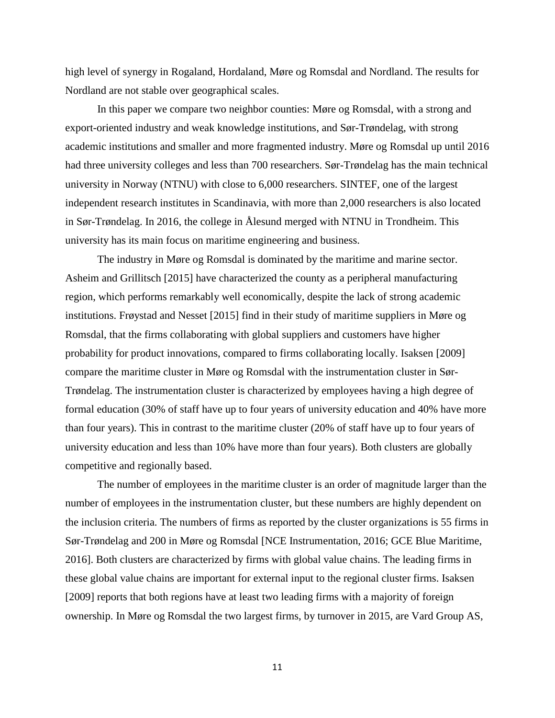high level of synergy in Rogaland, Hordaland, Møre og Romsdal and Nordland. The results for Nordland are not stable over geographical scales.

In this paper we compare two neighbor counties: Møre og Romsdal, with a strong and export-oriented industry and weak knowledge institutions, and Sør-Trøndelag, with strong academic institutions and smaller and more fragmented industry. Møre og Romsdal up until 2016 had three university colleges and less than 700 researchers. Sør-Trøndelag has the main technical university in Norway (NTNU) with close to 6,000 researchers. SINTEF, one of the largest independent research institutes in Scandinavia, with more than 2,000 researchers is also located in Sør-Trøndelag. In 2016, the college in Ålesund merged with NTNU in Trondheim. This university has its main focus on maritime engineering and business.

The industry in Møre og Romsdal is dominated by the maritime and marine sector. Asheim and Grillitsch [2015] have characterized the county as a peripheral manufacturing region, which performs remarkably well economically, despite the lack of strong academic institutions. Frøystad and Nesset [2015] find in their study of maritime suppliers in Møre og Romsdal, that the firms collaborating with global suppliers and customers have higher probability for product innovations, compared to firms collaborating locally. Isaksen [2009] compare the maritime cluster in Møre og Romsdal with the instrumentation cluster in Sør-Trøndelag. The instrumentation cluster is characterized by employees having a high degree of formal education (30% of staff have up to four years of university education and 40% have more than four years). This in contrast to the maritime cluster (20% of staff have up to four years of university education and less than 10% have more than four years). Both clusters are globally competitive and regionally based.

The number of employees in the maritime cluster is an order of magnitude larger than the number of employees in the instrumentation cluster, but these numbers are highly dependent on the inclusion criteria. The numbers of firms as reported by the cluster organizations is 55 firms in Sør-Trøndelag and 200 in Møre og Romsdal [NCE Instrumentation, 2016; GCE Blue Maritime, 2016]. Both clusters are characterized by firms with global value chains. The leading firms in these global value chains are important for external input to the regional cluster firms. Isaksen [2009] reports that both regions have at least two leading firms with a majority of foreign ownership. In Møre og Romsdal the two largest firms, by turnover in 2015, are Vard Group AS,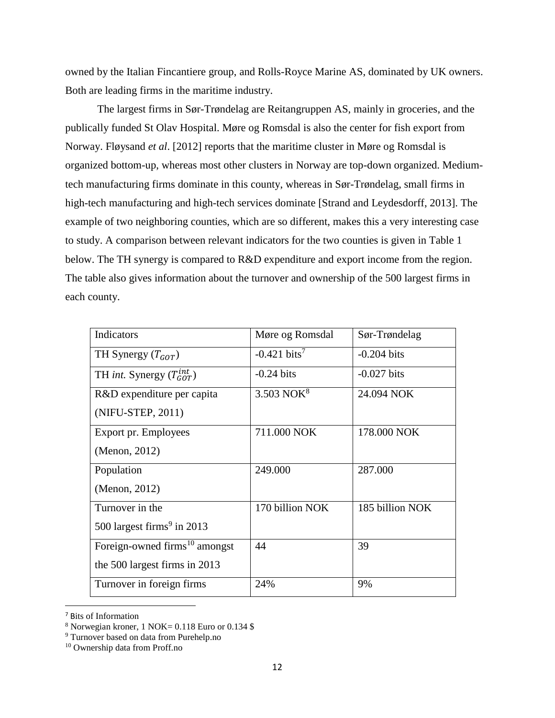owned by the Italian Fincantiere group, and Rolls-Royce Marine AS, dominated by UK owners. Both are leading firms in the maritime industry.

The largest firms in Sør-Trøndelag are Reitangruppen AS, mainly in groceries, and the publically funded St Olav Hospital. Møre og Romsdal is also the center for fish export from Norway. Fløysand *et al*. [2012] reports that the maritime cluster in Møre og Romsdal is organized bottom-up, whereas most other clusters in Norway are top-down organized. Mediumtech manufacturing firms dominate in this county, whereas in Sør-Trøndelag, small firms in high-tech manufacturing and high-tech services dominate [Strand and Leydesdorff, 2013]. The example of two neighboring counties, which are so different, makes this a very interesting case to study. A comparison between relevant indicators for the two counties is given in Table 1 below. The TH synergy is compared to R&D expenditure and export income from the region. The table also gives information about the turnover and ownership of the 500 largest firms in each county.

| <b>Indicators</b>                         | Møre og Romsdal         | Sør-Trøndelag   |
|-------------------------------------------|-------------------------|-----------------|
| TH Synergy $(T_{GOT})$                    | $-0.421 \text{ bits}^7$ | $-0.204$ bits   |
| TH <i>int</i> . Synergy $(T_{GOT}^{int})$ | $-0.24$ bits            | $-0.027$ bits   |
| R&D expenditure per capita                | 3.503 NOK $8$           | 24.094 NOK      |
| (NIFU-STEP, 2011)                         |                         |                 |
| Export pr. Employees                      | 711.000 NOK             | 178.000 NOK     |
| (Menon, 2012)                             |                         |                 |
| Population                                | 249.000                 | 287.000         |
| (Menon, 2012)                             |                         |                 |
| Turnover in the                           | 170 billion NOK         | 185 billion NOK |
| 500 largest firms <sup>9</sup> in 2013    |                         |                 |
| Foreign-owned firms <sup>10</sup> amongst | 44                      | 39              |
| the 500 largest firms in 2013             |                         |                 |
| Turnover in foreign firms                 | 24%                     | 9%              |

<sup>7</sup> Bits of Information

 $\overline{a}$ 

 $8$  Norwegian kroner, 1 NOK= 0.118 Euro or 0.134 \$

<sup>9</sup> Turnover based on data from Purehelp.no

<sup>10</sup> Ownership data from Proff.no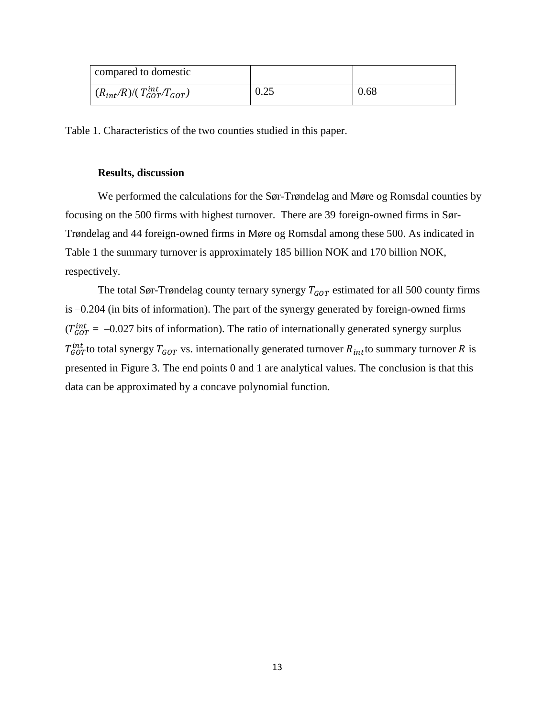| compared to domestic                  |      |      |
|---------------------------------------|------|------|
| $(R_{int}/R)/(T_{GOT}^{int}/T_{GOT})$ | 0.25 | 0.68 |

Table 1. Characteristics of the two counties studied in this paper.

#### **Results, discussion**

We performed the calculations for the Sør-Trøndelag and Møre og Romsdal counties by focusing on the 500 firms with highest turnover. There are 39 foreign-owned firms in Sør-Trøndelag and 44 foreign-owned firms in Møre og Romsdal among these 500. As indicated in Table 1 the summary turnover is approximately 185 billion NOK and 170 billion NOK, respectively.

The total Sør-Trøndelag county ternary synergy  $T_{GOT}$  estimated for all 500 county firms is –0.204 (in bits of information). The part of the synergy generated by foreign-owned firms  $(T_{GOT}^{int} = -0.027$  bits of information). The ratio of internationally generated synergy surplus  $T_{GOT}^{int}$ to total synergy  $T_{GOT}$  vs. internationally generated turnover  $R_{int}$ to summary turnover  $R$  is presented in Figure 3. The end points 0 and 1 are analytical values. The conclusion is that this data can be approximated by a concave polynomial function.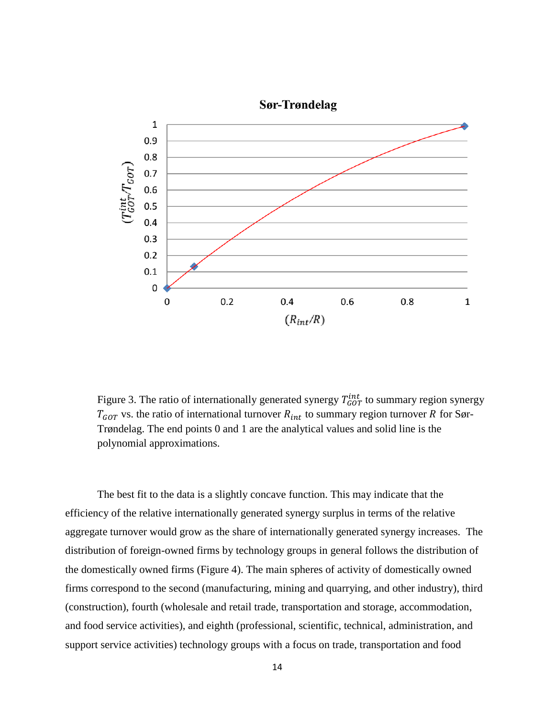

Figure 3. The ratio of internationally generated synergy  $T_{GOT}^{int}$  to summary region synergy  $T_{GOT}$  vs. the ratio of international turnover  $R_{int}$  to summary region turnover R for Sør-Trøndelag. The end points 0 and 1 are the analytical values and solid line is the polynomial approximations.

The best fit to the data is a slightly concave function. This may indicate that the efficiency of the relative internationally generated synergy surplus in terms of the relative aggregate turnover would grow as the share of internationally generated synergy increases. The distribution of foreign-owned firms by technology groups in general follows the distribution of the domestically owned firms (Figure 4). The main spheres of activity of domestically owned firms correspond to the second (manufacturing, mining and quarrying, and other industry), third (construction), fourth (wholesale and retail trade, transportation and storage, accommodation, and food service activities), and eighth (professional, scientific, technical, administration, and support service activities) technology groups with a focus on trade, transportation and food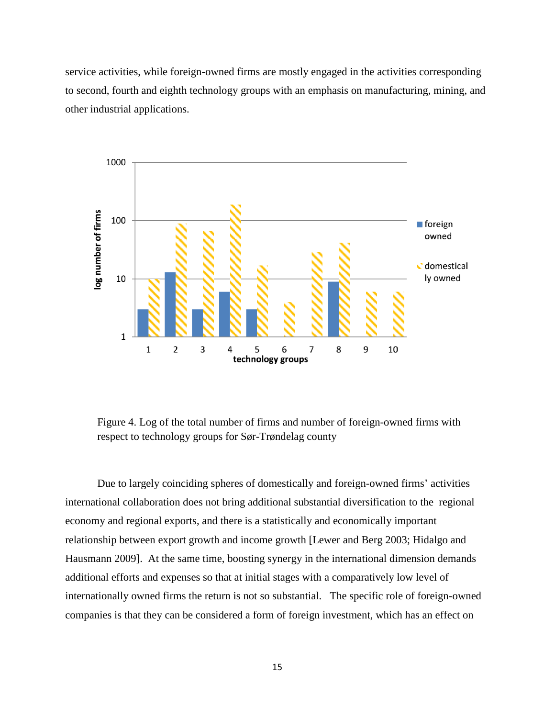service activities, while foreign-owned firms are mostly engaged in the activities corresponding to second, fourth and eighth technology groups with an emphasis on manufacturing, mining, and other industrial applications.



Figure 4. Log of the total number of firms and number of foreign-owned firms with respect to technology groups for Sør-Trøndelag county

Due to largely coinciding spheres of domestically and foreign-owned firms' activities international collaboration does not bring additional substantial diversification to the regional economy and regional exports, and there is a statistically and economically important relationship between export growth and income growth [Lewer and Berg 2003; Hidalgo and Hausmann 2009]. At the same time, boosting synergy in the international dimension demands additional efforts and expenses so that at initial stages with a comparatively low level of internationally owned firms the return is not so substantial. The specific role of foreign-owned companies is that they can be considered a form of foreign investment, which has an effect on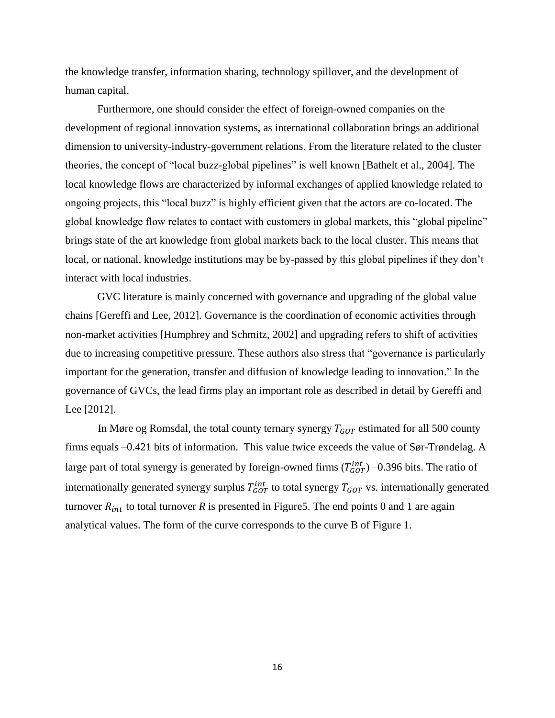the knowledge transfer, information sharing, technology spillover, and the development of human capital.

Furthermore, one should consider the effect of foreign-owned companies on the development of regional innovation systems, as international collaboration brings an additional dimension to university-industry-government relations. From the literature related to the cluster theories, the concept of "local buzz-global pipelines" is well known [Bathelt et al., 2004]. The local knowledge flows are characterized by informal exchanges of applied knowledge related to ongoing projects, this "local buzz" is highly efficient given that the actors are co-located. The global knowledge flow relates to contact with customers in global markets, this "global pipeline" brings state of the art knowledge from global markets back to the local cluster. This means that local, or national, knowledge institutions may be by-passed by this global pipelines if they don't interact with local industries.

GVC literature is mainly concerned with governance and upgrading of the global value chains [Gereffi and Lee, 2012]. Governance is the coordination of economic activities through non-market activities [Humphrey and Schmitz, 2002] and upgrading refers to shift of activities due to increasing competitive pressure. These authors also stress that "governance is particularly important for the generation, transfer and diffusion of knowledge leading to innovation." In the governance of GVCs, the lead firms play an important role as described in detail by Gereffi and Lee [2012].

In Møre og Romsdal, the total county ternary synergy  $T_{GOT}$  estimated for all 500 county firms equals –0.421 bits of information. This value twice exceeds the value of Sør-Trøndelag. A large part of total synergy is generated by foreign-owned firms  $(T_{GOT}^{int})$  –0.396 bits. The ratio of internationally generated synergy surplus  $T_{GOT}^{int}$  to total synergy  $T_{GOT}$  vs. internationally generated turnover  $R_{int}$  to total turnover R is presented in Figure5. The end points 0 and 1 are again analytical values. The form of the curve corresponds to the curve B of Figure 1.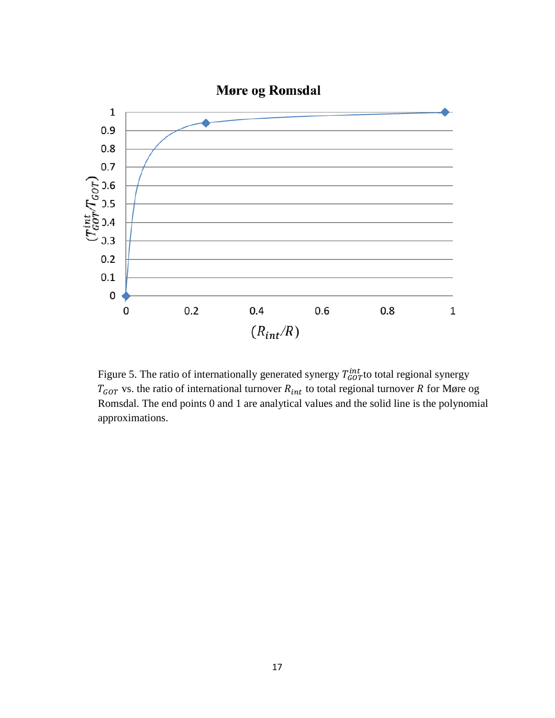

Figure 5. The ratio of internationally generated synergy  $T_{GOT}^{int}$  to total regional synergy  $T_{GOT}$  vs. the ratio of international turnover  $R_{int}$  to total regional turnover R for Møre og Romsdal. The end points 0 and 1 are analytical values and the solid line is the polynomial approximations.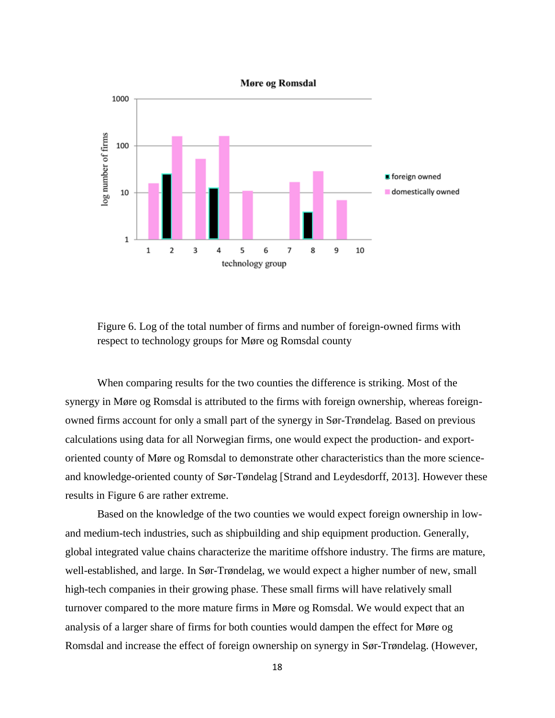

Figure 6. Log of the total number of firms and number of foreign-owned firms with respect to technology groups for Møre og Romsdal county

When comparing results for the two counties the difference is striking. Most of the synergy in Møre og Romsdal is attributed to the firms with foreign ownership, whereas foreignowned firms account for only a small part of the synergy in Sør-Trøndelag. Based on previous calculations using data for all Norwegian firms, one would expect the production- and exportoriented county of Møre og Romsdal to demonstrate other characteristics than the more scienceand knowledge-oriented county of Sør-Tøndelag [Strand and Leydesdorff, 2013]. However these results in Figure 6 are rather extreme.

Based on the knowledge of the two counties we would expect foreign ownership in lowand medium-tech industries, such as shipbuilding and ship equipment production. Generally, global integrated value chains characterize the maritime offshore industry. The firms are mature, well-established, and large. In Sør-Trøndelag, we would expect a higher number of new, small high-tech companies in their growing phase. These small firms will have relatively small turnover compared to the more mature firms in Møre og Romsdal. We would expect that an analysis of a larger share of firms for both counties would dampen the effect for Møre og Romsdal and increase the effect of foreign ownership on synergy in Sør-Trøndelag. (However,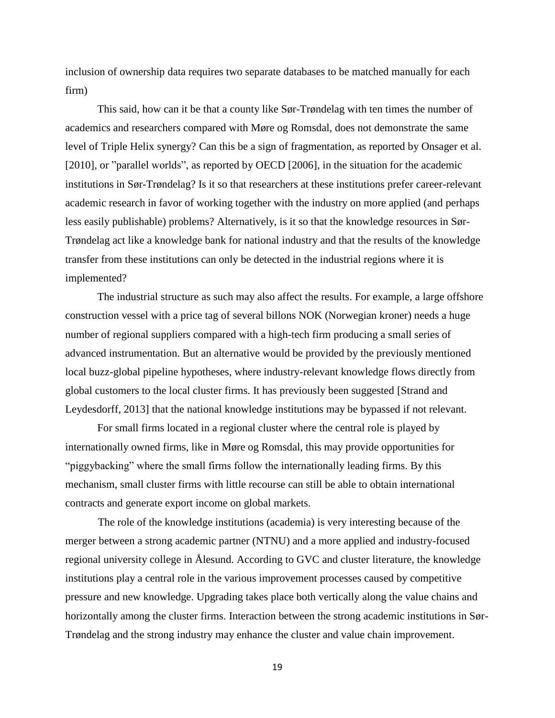inclusion of ownership data requires two separate databases to be matched manually for each firm)

This said, how can it be that a county like Sør-Trøndelag with ten times the number of academics and researchers compared with Møre og Romsdal, does not demonstrate the same level of Triple Helix synergy? Can this be a sign of fragmentation, as reported by Onsager et al. [2010], or "parallel worlds", as reported by OECD [2006], in the situation for the academic institutions in Sør-Trøndelag? Is it so that researchers at these institutions prefer career-relevant academic research in favor of working together with the industry on more applied (and perhaps less easily publishable) problems? Alternatively, is it so that the knowledge resources in Sør-Trøndelag act like a knowledge bank for national industry and that the results of the knowledge transfer from these institutions can only be detected in the industrial regions where it is implemented?

The industrial structure as such may also affect the results. For example, a large offshore construction vessel with a price tag of several billons NOK (Norwegian kroner) needs a huge number of regional suppliers compared with a high-tech firm producing a small series of advanced instrumentation. But an alternative would be provided by the previously mentioned local buzz-global pipeline hypotheses, where industry-relevant knowledge flows directly from global customers to the local cluster firms. It has previously been suggested [Strand and Leydesdorff, 2013] that the national knowledge institutions may be bypassed if not relevant.

For small firms located in a regional cluster where the central role is played by internationally owned firms, like in Møre og Romsdal, this may provide opportunities for "piggybacking" where the small firms follow the internationally leading firms. By this mechanism, small cluster firms with little recourse can still be able to obtain international contracts and generate export income on global markets.

The role of the knowledge institutions (academia) is very interesting because of the merger between a strong academic partner (NTNU) and a more applied and industry-focused regional university college in Ålesund. According to GVC and cluster literature, the knowledge institutions play a central role in the various improvement processes caused by competitive pressure and new knowledge. Upgrading takes place both vertically along the value chains and horizontally among the cluster firms. Interaction between the strong academic institutions in Sør-Trøndelag and the strong industry may enhance the cluster and value chain improvement.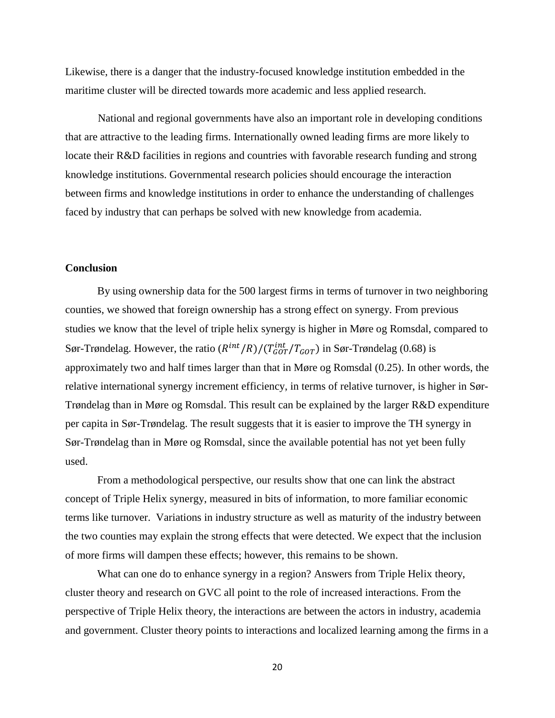Likewise, there is a danger that the industry-focused knowledge institution embedded in the maritime cluster will be directed towards more academic and less applied research.

National and regional governments have also an important role in developing conditions that are attractive to the leading firms. Internationally owned leading firms are more likely to locate their R&D facilities in regions and countries with favorable research funding and strong knowledge institutions. Governmental research policies should encourage the interaction between firms and knowledge institutions in order to enhance the understanding of challenges faced by industry that can perhaps be solved with new knowledge from academia.

#### **Conclusion**

By using ownership data for the 500 largest firms in terms of turnover in two neighboring counties, we showed that foreign ownership has a strong effect on synergy. From previous studies we know that the level of triple helix synergy is higher in Møre og Romsdal, compared to Sør-Trøndelag. However, the ratio  $(R^{int}/R)/(T_{GOT}^{int}/T_{GOT})$  in Sør-Trøndelag (0.68) is approximately two and half times larger than that in Møre og Romsdal (0.25). In other words, the relative international synergy increment efficiency, in terms of relative turnover, is higher in Sør-Trøndelag than in Møre og Romsdal. This result can be explained by the larger R&D expenditure per capita in Sør-Trøndelag. The result suggests that it is easier to improve the TH synergy in Sør-Trøndelag than in Møre og Romsdal, since the available potential has not yet been fully used.

From a methodological perspective, our results show that one can link the abstract concept of Triple Helix synergy, measured in bits of information, to more familiar economic terms like turnover. Variations in industry structure as well as maturity of the industry between the two counties may explain the strong effects that were detected. We expect that the inclusion of more firms will dampen these effects; however, this remains to be shown.

What can one do to enhance synergy in a region? Answers from Triple Helix theory, cluster theory and research on GVC all point to the role of increased interactions. From the perspective of Triple Helix theory, the interactions are between the actors in industry, academia and government. Cluster theory points to interactions and localized learning among the firms in a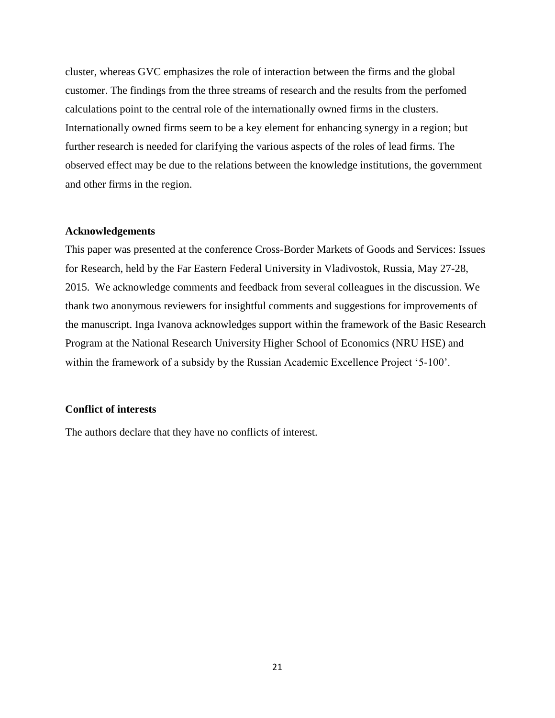cluster, whereas GVC emphasizes the role of interaction between the firms and the global customer. The findings from the three streams of research and the results from the perfomed calculations point to the central role of the internationally owned firms in the clusters. Internationally owned firms seem to be a key element for enhancing synergy in a region; but further research is needed for clarifying the various aspects of the roles of lead firms. The observed effect may be due to the relations between the knowledge institutions, the government and other firms in the region.

#### **Acknowledgements**

This paper was presented at the conference Cross-Border Markets of Goods and Services: Issues for Research, held by the Far Eastern Federal University in Vladivostok, Russia, May 27-28, 2015. We acknowledge comments and feedback from several colleagues in the discussion. We thank two anonymous reviewers for insightful comments and suggestions for improvements of the manuscript. Inga Ivanova acknowledges support within the framework of the Basic Research Program at the National Research University Higher School of Economics (NRU HSE) and within the framework of a subsidy by the Russian Academic Excellence Project '5-100'.

# **Conflict of interests**

The authors declare that they have no conflicts of interest.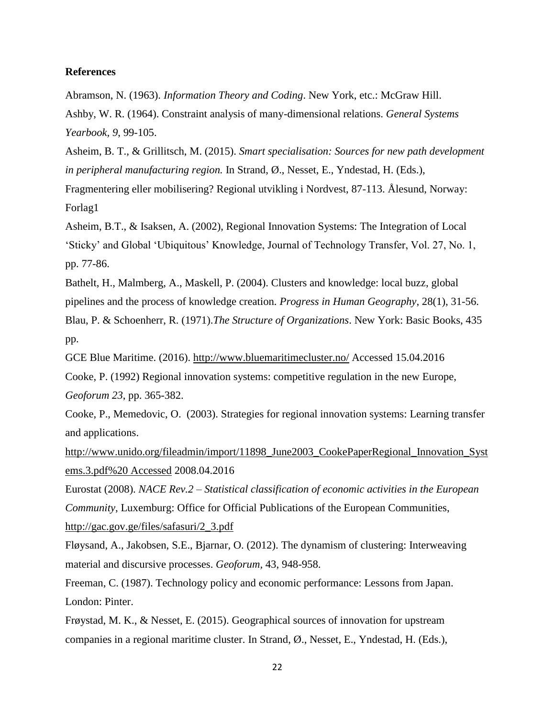#### **References**

Abramson, N. (1963). *Information Theory and Coding*. New York, etc.: McGraw Hill.

Ashby, W. R. (1964). Constraint analysis of many-dimensional relations. *General Systems Yearbook, 9*, 99-105.

Asheim, B. T., & Grillitsch, M. (2015). *Smart specialisation: Sources for new path development in peripheral manufacturing region.* In Strand, Ø., Nesset, E., Yndestad, H. (Eds.),

Fragmentering eller mobilisering? Regional utvikling i Nordvest, 87-113. Ålesund, Norway: Forlag1

Asheim, B.T., & Isaksen, A. (2002), Regional Innovation Systems: The Integration of Local 'Sticky' and Global 'Ubiquitous' Knowledge, Journal of Technology Transfer, Vol. 27, No. 1, pp. 77-86.

Bathelt, H., Malmberg, A., Maskell, P. (2004). Clusters and knowledge: local buzz, global pipelines and the process of knowledge creation*. Progress in Human Geography*, 28(1), 31-56. Blau, P. & Schoenherr, R. (1971).*The Structure of Organizations*. New York: Basic Books, 435

pp.

GCE Blue Maritime. (2016).<http://www.bluemaritimecluster.no/> Accessed 15.04.2016

Cooke, P. (1992) Regional innovation systems: competitive regulation in the new Europe, *Geoforum 23*, pp. 365-382.

Cooke, P., Memedovic, O. (2003). Strategies for regional innovation systems: Learning transfer and applications.

[http://www.unido.org/fileadmin/import/11898\\_June2003\\_CookePaperRegional\\_Innovation\\_Syst](http://www.unido.org/fileadmin/import/11898_June2003_CookePaperRegional_Innovation_Systems.3.pdf%20%20Accessed) [ems.3.pdf%20 Accessed](http://www.unido.org/fileadmin/import/11898_June2003_CookePaperRegional_Innovation_Systems.3.pdf%20%20Accessed) 2008.04.2016

Eurostat (2008). *NACE Rev.2 – Statistical classification of economic activities in the European Community*, Luxemburg: Office for Official Publications of the European Communities, [http://gac.gov.ge/files/safasuri/2\\_3.pdf](http://gac.gov.ge/files/safasuri/2_3.pdf)

Fløysand, A., Jakobsen, S.E., Bjarnar, O. (2012). The dynamism of clustering: Interweaving material and discursive processes. *Geoforum,* 43, 948-958.

Freeman, C. (1987). Technology policy and economic performance: Lessons from Japan. London: Pinter.

Frøystad, M. K., & Nesset, E. (2015). Geographical sources of innovation for upstream companies in a regional maritime cluster. In Strand, Ø., Nesset, E., Yndestad, H. (Eds.),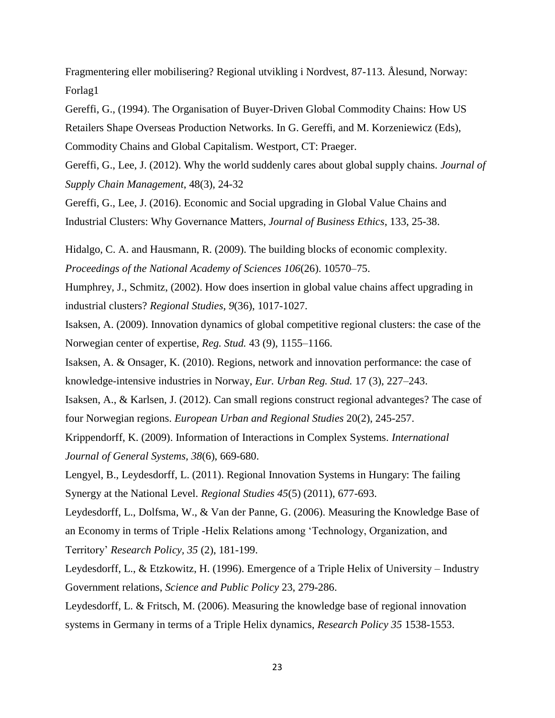Fragmentering eller mobilisering? Regional utvikling i Nordvest, 87-113. Ålesund, Norway: Forlag1

Gereffi, G., (1994). The Organisation of Buyer-Driven Global Commodity Chains: How US Retailers Shape Overseas Production Networks. In G. Gereffi, and M. Korzeniewicz (Eds), Commodity Chains and Global Capitalism. Westport, CT: Praeger.

Gereffi, G., Lee, J. (2012). Why the world suddenly cares about global supply chains. *Journal of Supply Chain Management*, 48(3), 24-32

Gereffi, G., Lee, J. (2016). Economic and Social upgrading in Global Value Chains and Industrial Clusters: Why Governance Matters, *Journal of Business Ethics*, 133, 25-38.

Hidalgo, C. A. and Hausmann, R. (2009). The building blocks of economic complexity. *Proceedings of the National Academy of Sciences 106*(26). 10570–75.

Humphrey, J., Schmitz, (2002). How does insertion in global value chains affect upgrading in industrial clusters? *Regional Studies*, *9*(36), 1017-1027.

Isaksen, A. (2009). Innovation dynamics of global competitive regional clusters: the case of the Norwegian center of expertise, *Reg. Stud.* 43 (9), 1155–1166.

Isaksen, A. & Onsager, K. (2010). Regions, network and innovation performance: the case of knowledge-intensive industries in Norway, *Eur. Urban Reg. Stud.* 17 (3), 227–243.

Isaksen, A., & Karlsen, J. (2012). Can small regions construct regional advanteges? The case of four Norwegian regions. *European Urban and Regional Studies* 20(2), 245-257.

Krippendorff, K. (2009). Information of Interactions in Complex Systems. *International Journal of General Systems, 38*(6), 669-680.

Lengyel, B., Leydesdorff, L. (2011). Regional Innovation Systems in Hungary: The failing Synergy at the National Level. *Regional Studies 45*(5) (2011), 677-693.

Leydesdorff, L., Dolfsma, W., & Van der Panne, G. (2006). Measuring the Knowledge Base of an Economy in terms of Triple -Helix Relations among 'Technology, Organization, and Territory' *Research Policy, 35* (2), 181-199.

Leydesdorff, L., & Etzkowitz, H. (1996). Emergence of a Triple Helix of University – Industry Government relations, *Science and Public Policy* 23, 279-286.

Leydesdorff, L. & Fritsch, M. (2006). Measuring the knowledge base of regional innovation systems in Germany in terms of a Triple Helix dynamics, *Research Policy 35* 1538-1553.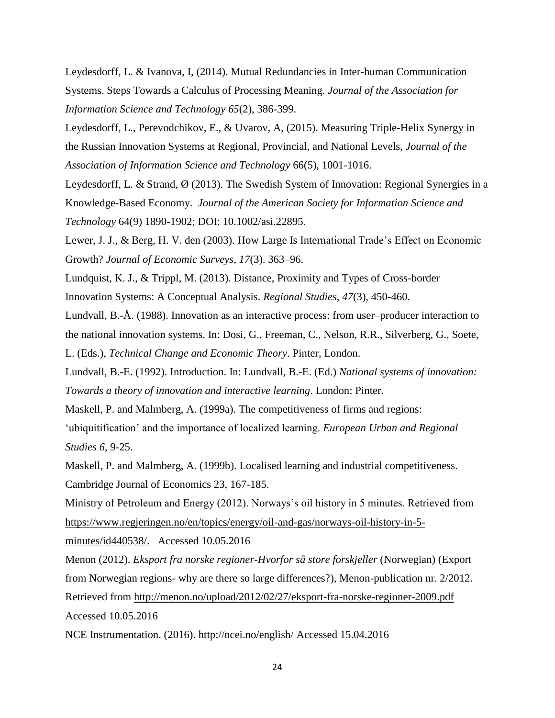Leydesdorff, L. & Ivanova, I, (2014). Mutual Redundancies in Inter-human Communication Systems. Steps Towards a Calculus of Processing Meaning. *Journal of the Association for Information Science and Technology 65*(2), 386-399.

Leydesdorff, L., Perevodchikov, E., & Uvarov, A, (2015). Measuring Triple-Helix Synergy in the Russian Innovation Systems at Regional, Provincial, and National Levels, *Journal of the Association of Information Science and Technology* 66(5), 1001-1016.

Leydesdorff, L. & Strand, Ø (2013). The Swedish System of Innovation: Regional Synergies in a Knowledge-Based Economy. *Journal of the American Society for Information Science and Technology* 64(9) 1890-1902; DOI: 10.1002/asi.22895.

Lewer, J. J., & Berg, H. V. den (2003). How Large Is International Trade's Effect on Economic Growth? *Journal of Economic Surveys*, *17*(3). 363–96.

Lundquist, K. J., & Trippl, M. (2013). Distance, Proximity and Types of Cross-border Innovation Systems: A Conceptual Analysis. *Regional Studies, 47*(3), 450-460.

Lundvall, B.-Å. (1988). Innovation as an interactive process: from user–producer interaction to the national innovation systems. In: Dosi, G., Freeman, C., Nelson, R.R., Silverberg, G., Soete, L. (Eds.), *Technical Change and Economic Theory*. Pinter, London.

Lundvall, B.-Е. (1992). Introduction. In: Lundvall, B.-Е. (Ed.) *National systems of innovation: Towards a theory of innovation and interactive learning*. London: Pinter.

Maskell, P. and Malmberg, A. (1999a). The competitiveness of firms and regions:

'ubiquitification' and the importance of localized learning. *European Urban and Regional Studies 6*, 9-25.

Maskell, P. and Malmberg, A. (1999b). Localised learning and industrial competitiveness. Cambridge Journal of Economics 23, 167-185.

Ministry of Petroleum and Energy (2012). Norways's oil history in 5 minutes. Retrieved from [https://www.regjeringen.no/en/topics/energy/oil-and-gas/norways-oil-history-in-5-](https://www.regjeringen.no/en/topics/energy/oil-and-gas/norways-oil-history-in-5-minutes/id440538/)

[minutes/id440538/.](https://www.regjeringen.no/en/topics/energy/oil-and-gas/norways-oil-history-in-5-minutes/id440538/) Accessed 10.05.2016

Menon (2012). *Eksport fra norske regioner-Hvorfor så store forskjeller* (Norwegian) (Export from Norwegian regions- why are there so large differences?), Menon-publication nr. 2/2012. Retrieved from<http://menon.no/upload/2012/02/27/eksport-fra-norske-regioner-2009.pdf> Accessed 10.05.2016

NCE Instrumentation. (2016). http://ncei.no/english/ Accessed 15.04.2016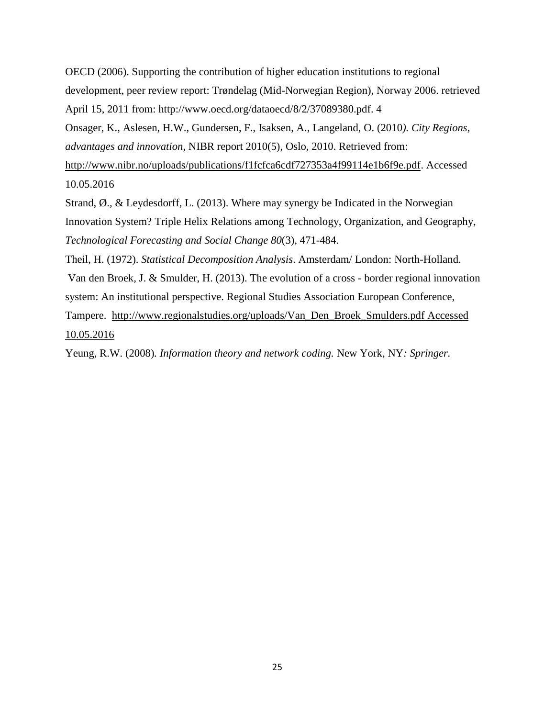OECD (2006). Supporting the contribution of higher education institutions to regional development, peer review report: Trøndelag (Mid-Norwegian Region), Norway 2006. retrieved April 15, 2011 from: http://www.oecd.org/dataoecd/8/2/37089380.pdf. 4 Onsager, K., Aslesen, H.W., Gundersen, F., Isaksen, A., Langeland, O. (2010*). City Regions, advantages and innovation*, NIBR report 2010(5), Oslo, 2010. Retrieved from: [http://www.nibr.no/uploads/publications/f1fcfca6cdf727353a4f99114e1b6f9e.pdf.](http://www.nibr.no/uploads/publications/f1fcfca6cdf727353a4f99114e1b6f9e.pdf) Accessed 10.05.2016

Strand, Ø., & Leydesdorff, L. (2013). Where may synergy be Indicated in the Norwegian Innovation System? Triple Helix Relations among Technology, Organization, and Geography, *Technological Forecasting and Social Change 80*(3), 471-484.

Theil, H. (1972). *Statistical Decomposition Analysis*. Amsterdam/ London: North-Holland. Van den Broek, J. & Smulder, H. (2013). The evolution of a cross - border regional innovation system: An institutional perspective. Regional Studies Association European Conference, Tampere. [http://www.regionalstudies.org/uploads/Van\\_Den\\_Broek\\_Smulders.pdf](http://www.regionalstudies.org/uploads/Van_Den_Broek_Smulders.pdf) Accessed 10.05.2016

Yeung, R.W. (2008)*. Information theory and network coding.* New York, NY*: Springer.*